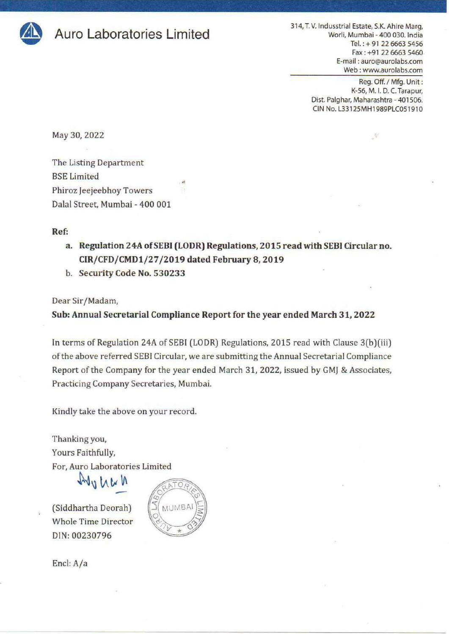

Muro Laboratories Limited **Auro Auro Laboratories Limited** Marg, and the Marg, and the Marg, and the Marg, and the Marg, and the Marg, and the Marg, and the Marg, and the Marg,  $\frac{314}{N}$ . Worli, Mumbai - 400 030. India Tel.: + 91 22 6663 5456 Fax : +91 22 6663 5460 E-mail : auro@aurolabs.com Web : www.aurolabs.com 314, T. V. Indusstrial E<br>Worli, Mu<br>Te<br>E-mail<br>Web

> Reg. Off. / Mfg. Unit : K-56, M. |. D. C. Tarapur, Dist. Palghar, Maharashtra - 401506. CIN No. L33125MH1989PLC051910

May 30, 2022

The Listing Department BSE Limited Phiroz Jeejeebhoy Towers Dalal Street, Mumbai - 400 001

## Ref:

- a. Regulation 24A of SEBI (LODR) Regulations, 2015 read with SEBI Circular no. CIR/CFD/CMD1/27/2019 dated February 8, 2019
- b. Security Code No. 530233

Dear Sir/Madam,

Sub: Annual Secretarial Compliance Report for the year ended March 31, 2022

In terms of Regulation 24A of SEBI (LODR) Regulations, 2015 read with Clause 3(b)/(iii) of the above referred SEBI Circular, we are submitting the Annual Secretarial Compliance Report of the Company for the year ended March 31, 2022, issued by GMJ & Associates, Practicing Company Secretaries, Mumbai. Figure 2.1 (The Second Property of the Second Property)<br>
Figure 3.2 (2003) 3460<br>
Environmental and Consumer Web Consumers and Consumer Consumer Consumers and Consumer Consumers (Apply During Dept. 2013)<br>
ON Figure 3.2 (Fig

Kindly take the above on your record,

Thanking you, Yours Faithfully, For, Auro Laboratories Limited

Whole Time Director DIN: 00230796



Encl: A/a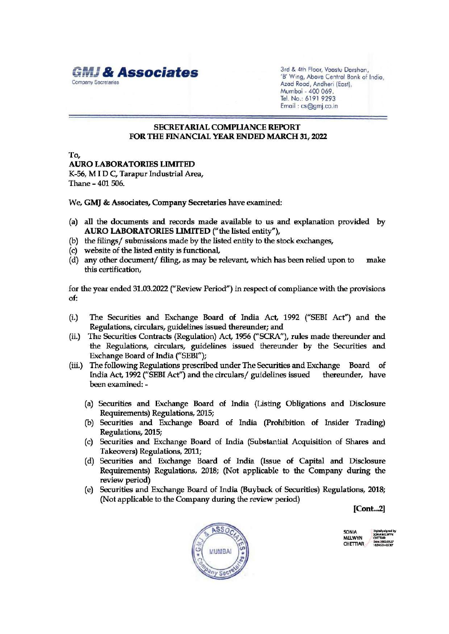

Mumbai - 400 069. Tel. No.: 6191 9293 Email : cs@gmj.co.in

## SECRETARIAL COMPLIANCE REPORT FOR THE FINANCIAL YEAR ENDED MARCH 31, 2022

To, AURO LABORATORIES LIMITED K-56, MID C, Tarapur Industrial Area, Thane - 401 506.

We, GMI & Associates, Company Secretaries have examined:

- (a) all the documents and records made available to us and explanation provided by AURO LABORATORIES LIMITED ("the listed entity"),
- (b)\_ the filings/ submissions made by the listed entity to the stock exchanges,
- (c) website of the listed entity is functional,
- (d) any other document/ filing, as may be relevant, which has been relied upon to make this certification,

for the year ended 31.03.2022 ("Review Period") in respect of compliance with the provisions of:

- (i.) The Securities and Exchange Board of India Act, 1992 ("SEBI Act"} and the Regulations, circulars, guidelines issued thereunder; and
- (ii.) The Securities Contracts (Regulation) Act, 1956 ("SCRA"), rules made thereunder and the Regulations, circulars, guidelines issued thereunder by the Securities and Exchange Board of India ("SEBI");
- (iii.) The following Regulations prescribed under The Securities and Exchange Board of India Act, 1992 ("SEBI Act") and the circulars/ guidelines issued thereunder, have been examined: -
	- (a) Securities and Exchange Board of India (Listing Obligations and Disclosure Requirements) Regulations, 2015;
	- (b) Securities and Exchange Board of India (Prohibition of Insider Trading) Regulations, 2015;
	- (c) Securities and Exchange Board of India (Substantial Acquisition of Shares and Takeovers) Regulations, 2011;
	- (d) Securities and Exchange Board of India (Issue of Capital and Disclosure Requirements) Regulations, 2018, (Not applicable to the Company during the review period)
	- (e) Securities and Exchange Board of India (Buyback of Securities) Regulations, 2018; (Not applicable to the Company during the review period)

[Cont...2]



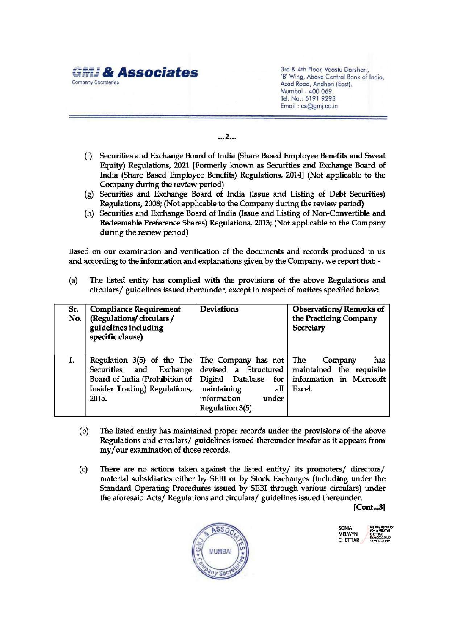

- (f) Securities and Exchange Board of India (Share Based Employee Benefits and Sweat Equity) Regulations, 2021 [Formerly known as Securities and Exchange Board of India (Share Based Employee Benefits) Regulations, 2014] (Not applicable to the Company during the review period) GMJ & Associates<br>
Company Secretaries<br>
(f) Securities and Exchange Board of In<br>
Equity) Regulations, 2021 [Formerl<br>
India (Share Based Employee Benn<br>
Company during the review period<br>
(g) Securities and Exchange Board of<br>
	- (g) Securities and Exchange Board of India (Issue and Listing of Debt Securities) Regulations, 2008; (Not applicable to the Company during the review period)
	- (h) Securities and Exchange Board of India (Issue and Listing of Non-Convertible and Redeemable Preference Shares) Regulations, 2013; (Not applicable to the Company during the review period)

|            | <b>MJ &amp; Associates</b><br>Company Secretaries                                                                                                                                                                                                                                                                                                                                                                                                                                                                                                                                                                                                                           |                                                                                                                                                | 3rd & 4th Floor, Vaastu Darshan,<br>'B' Wing, Above Central Bank of India,<br>Azad Road, Andheri (East),<br>Mumbai - 400 069.<br>Tel. No.: 6191 9293<br>Email: cs@gmj.co.in |  |  |  |  |
|------------|-----------------------------------------------------------------------------------------------------------------------------------------------------------------------------------------------------------------------------------------------------------------------------------------------------------------------------------------------------------------------------------------------------------------------------------------------------------------------------------------------------------------------------------------------------------------------------------------------------------------------------------------------------------------------------|------------------------------------------------------------------------------------------------------------------------------------------------|-----------------------------------------------------------------------------------------------------------------------------------------------------------------------------|--|--|--|--|
| 2          |                                                                                                                                                                                                                                                                                                                                                                                                                                                                                                                                                                                                                                                                             |                                                                                                                                                |                                                                                                                                                                             |  |  |  |  |
|            | Securities and Exchange Board of India (Share Based Employee Benefits and Sweat<br>(f)<br>Equity) Regulations, 2021 [Formerly known as Securities and Exchange Board of<br>India (Share Based Employee Benefits) Regulations, 2014] (Not applicable to the<br>Company during the review period)<br>(g) Securities and Exchange Board of India (Issue and Listing of Debt Securities)<br>Regulations, 2008; (Not applicable to the Company during the review period)<br>(h) Securities and Exchange Board of India (Issue and Listing of Non-Convertible and<br>Redeemable Preference Shares) Regulations, 2013; (Not applicable to the Company<br>during the review period) |                                                                                                                                                |                                                                                                                                                                             |  |  |  |  |
|            | Based on our examination and verification of the documents and records produced to us<br>and according to the information and explanations given by the Company, we report that: -                                                                                                                                                                                                                                                                                                                                                                                                                                                                                          |                                                                                                                                                |                                                                                                                                                                             |  |  |  |  |
| (a)        | The listed entity has complied with the provisions of the above Regulations and<br>circulars/ guidelines issued thereunder, except in respect of matters specified below:                                                                                                                                                                                                                                                                                                                                                                                                                                                                                                   |                                                                                                                                                |                                                                                                                                                                             |  |  |  |  |
| Sr.<br>No. | <b>Compliance Requirement</b><br>(Regulations/circulars/<br>guidelines including<br>specific clause)                                                                                                                                                                                                                                                                                                                                                                                                                                                                                                                                                                        | <b>Deviations</b>                                                                                                                              | <b>Observations/Remarks of</b><br>the Practicing Company<br>Secretary                                                                                                       |  |  |  |  |
| 1.         | Regulation 3(5) of the The<br><b>Securities</b><br>and<br>Exchange<br>Board of India (Prohibition of<br>Insider Trading) Regulations,<br>2015.                                                                                                                                                                                                                                                                                                                                                                                                                                                                                                                              | The Company has not<br>devised<br>a Structured<br>Digital<br>Database<br>for<br>maintaining<br>all<br>information<br>under<br>Regulation 3(5). | The<br>Company<br>has<br>maintained the requisite<br>information in Microsoft<br>Excel.                                                                                     |  |  |  |  |

- (b) The listed entity has maintained proper records under the provisions of the above Regulations and circulars/ guidelines issued thereunder insofar as it appears from my/our examination of those records.
- (c) There are no actions taken against the listed entity/ its promoters/ directors/ material subsidiaries either by SEBI or by Stock Exchanges (including under the Standard Operating Procedures issued by SEBI through various circulars) under the aforesaid Acts/ Regulations and circulars/ guidelines issued thereunder.

[Cont...3]



| SONIA         | Digitally signed by<br>SONIA MELWYN<br><b>CHETTIAR</b> |  |  |
|---------------|--------------------------------------------------------|--|--|
| <b>MELWYN</b> |                                                        |  |  |
|               | Date: 2022.05.27                                       |  |  |
| CHETTIAR      | 16:35:16 +05:30"                                       |  |  |